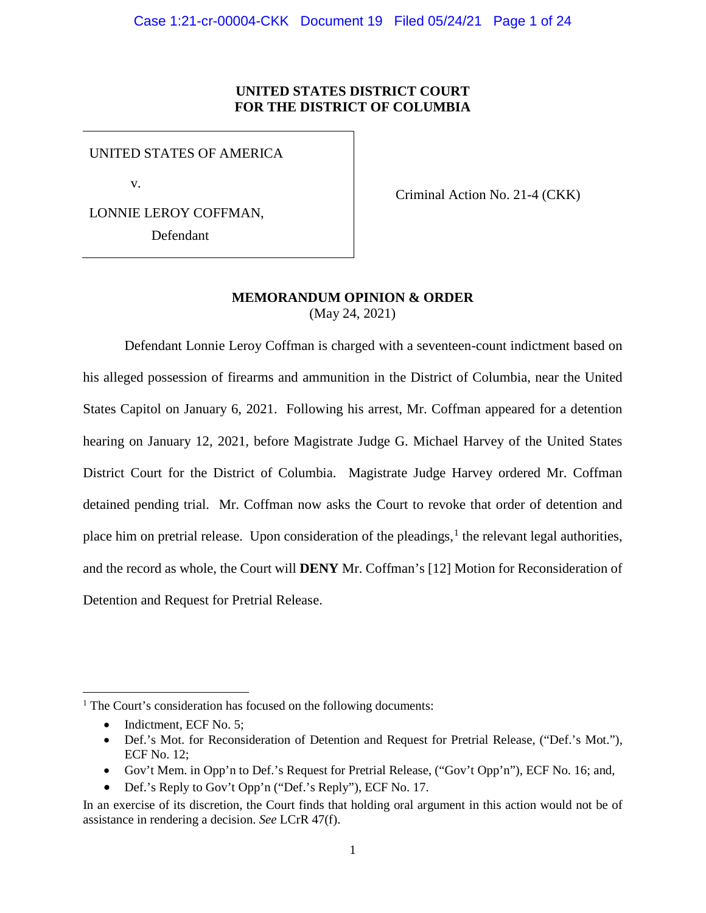## **UNITED STATES DISTRICT COURT FOR THE DISTRICT OF COLUMBIA**

UNITED STATES OF AMERICA

v.

LONNIE LEROY COFFMAN, Defendant

Criminal Action No. 21-4 (CKK)

## **MEMORANDUM OPINION & ORDER** (May 24, 2021)

Defendant Lonnie Leroy Coffman is charged with a seventeen-count indictment based on his alleged possession of firearms and ammunition in the District of Columbia, near the United States Capitol on January 6, 2021. Following his arrest, Mr. Coffman appeared for a detention hearing on January 12, 2021, before Magistrate Judge G. Michael Harvey of the United States District Court for the District of Columbia. Magistrate Judge Harvey ordered Mr. Coffman detained pending trial. Mr. Coffman now asks the Court to revoke that order of detention and place him on pretrial release. Upon consideration of the pleadings,<sup>1</sup> the relevant legal authorities, and the record as whole, the Court will **DENY** Mr. Coffman's [12] Motion for Reconsideration of Detention and Request for Pretrial Release.

• Gov't Mem. in Opp'n to Def.'s Request for Pretrial Release, ("Gov't Opp'n"), ECF No. 16; and,

 $<sup>1</sup>$  The Court's consideration has focused on the following documents:</sup>

<sup>•</sup> Indictment, ECF No. 5;

<sup>•</sup> Def.'s Mot. for Reconsideration of Detention and Request for Pretrial Release, ("Def.'s Mot."), ECF No. 12;

<sup>•</sup> Def.'s Reply to Gov't Opp'n ("Def.'s Reply"), ECF No. 17.

In an exercise of its discretion, the Court finds that holding oral argument in this action would not be of assistance in rendering a decision. *See* LCrR 47(f).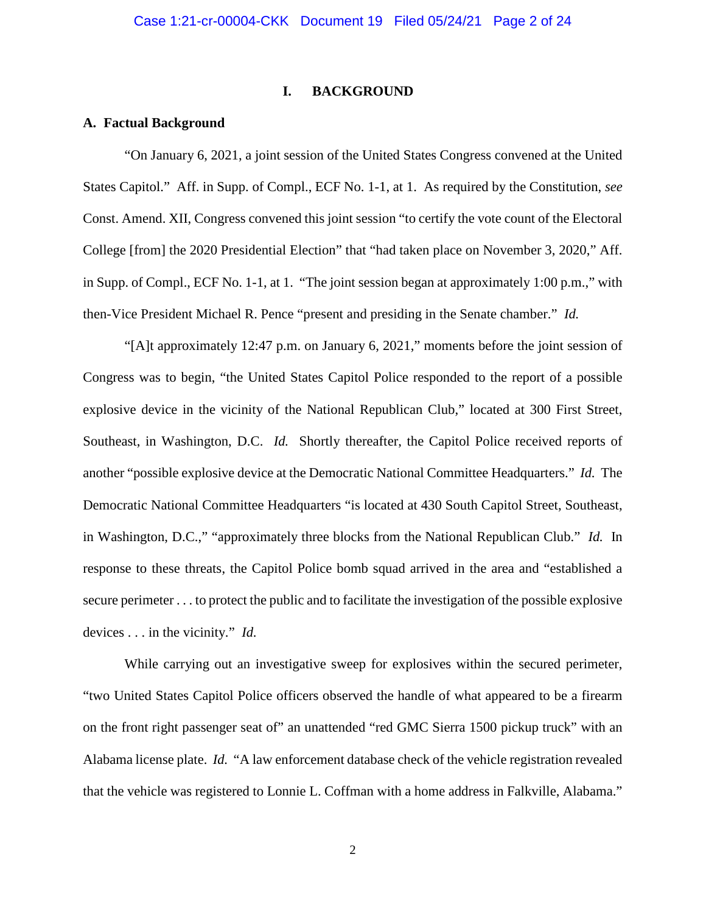#### **I. BACKGROUND**

#### **A. Factual Background**

"On January 6, 2021, a joint session of the United States Congress convened at the United States Capitol." Aff. in Supp. of Compl., ECF No. 1-1, at 1. As required by the Constitution, *see* Const. Amend. XII, Congress convened this joint session "to certify the vote count of the Electoral College [from] the 2020 Presidential Election" that "had taken place on November 3, 2020," Aff. in Supp. of Compl., ECF No. 1-1, at 1. "The joint session began at approximately 1:00 p.m.," with then-Vice President Michael R. Pence "present and presiding in the Senate chamber." *Id.*

"[A]t approximately 12:47 p.m. on January 6, 2021," moments before the joint session of Congress was to begin, "the United States Capitol Police responded to the report of a possible explosive device in the vicinity of the National Republican Club," located at 300 First Street, Southeast, in Washington, D.C. *Id.* Shortly thereafter, the Capitol Police received reports of another "possible explosive device at the Democratic National Committee Headquarters." *Id.* The Democratic National Committee Headquarters "is located at 430 South Capitol Street, Southeast, in Washington, D.C.," "approximately three blocks from the National Republican Club." *Id.* In response to these threats, the Capitol Police bomb squad arrived in the area and "established a secure perimeter . . . to protect the public and to facilitate the investigation of the possible explosive devices . . . in the vicinity." *Id.*

While carrying out an investigative sweep for explosives within the secured perimeter, "two United States Capitol Police officers observed the handle of what appeared to be a firearm on the front right passenger seat of" an unattended "red GMC Sierra 1500 pickup truck" with an Alabama license plate. *Id.* "A law enforcement database check of the vehicle registration revealed that the vehicle was registered to Lonnie L. Coffman with a home address in Falkville, Alabama."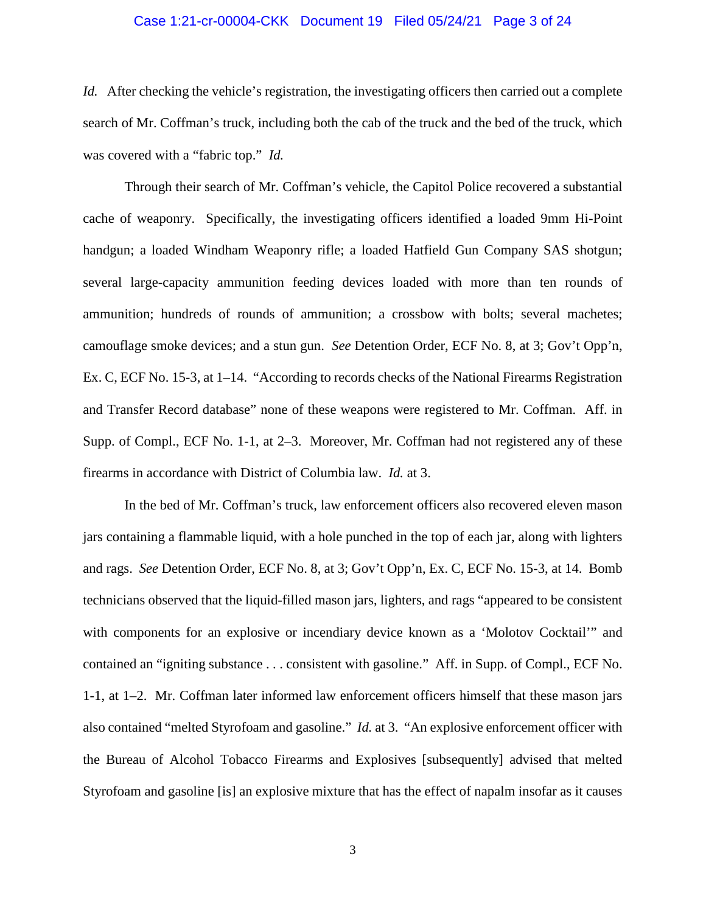### Case 1:21-cr-00004-CKK Document 19 Filed 05/24/21 Page 3 of 24

*Id.* After checking the vehicle's registration, the investigating officers then carried out a complete search of Mr. Coffman's truck, including both the cab of the truck and the bed of the truck, which was covered with a "fabric top." *Id.*

Through their search of Mr. Coffman's vehicle, the Capitol Police recovered a substantial cache of weaponry. Specifically, the investigating officers identified a loaded 9mm Hi-Point handgun; a loaded Windham Weaponry rifle; a loaded Hatfield Gun Company SAS shotgun; several large-capacity ammunition feeding devices loaded with more than ten rounds of ammunition; hundreds of rounds of ammunition; a crossbow with bolts; several machetes; camouflage smoke devices; and a stun gun. *See* Detention Order, ECF No. 8, at 3; Gov't Opp'n, Ex. C, ECF No. 15-3, at 1–14. "According to records checks of the National Firearms Registration and Transfer Record database" none of these weapons were registered to Mr. Coffman. Aff. in Supp. of Compl., ECF No. 1-1, at 2–3. Moreover, Mr. Coffman had not registered any of these firearms in accordance with District of Columbia law. *Id.* at 3.

In the bed of Mr. Coffman's truck, law enforcement officers also recovered eleven mason jars containing a flammable liquid, with a hole punched in the top of each jar, along with lighters and rags. *See* Detention Order, ECF No. 8, at 3; Gov't Opp'n, Ex. C, ECF No. 15-3, at 14. Bomb technicians observed that the liquid-filled mason jars, lighters, and rags "appeared to be consistent with components for an explosive or incendiary device known as a 'Molotov Cocktail'" and contained an "igniting substance . . . consistent with gasoline." Aff. in Supp. of Compl., ECF No. 1-1, at 1–2. Mr. Coffman later informed law enforcement officers himself that these mason jars also contained "melted Styrofoam and gasoline." *Id.* at 3. "An explosive enforcement officer with the Bureau of Alcohol Tobacco Firearms and Explosives [subsequently] advised that melted Styrofoam and gasoline [is] an explosive mixture that has the effect of napalm insofar as it causes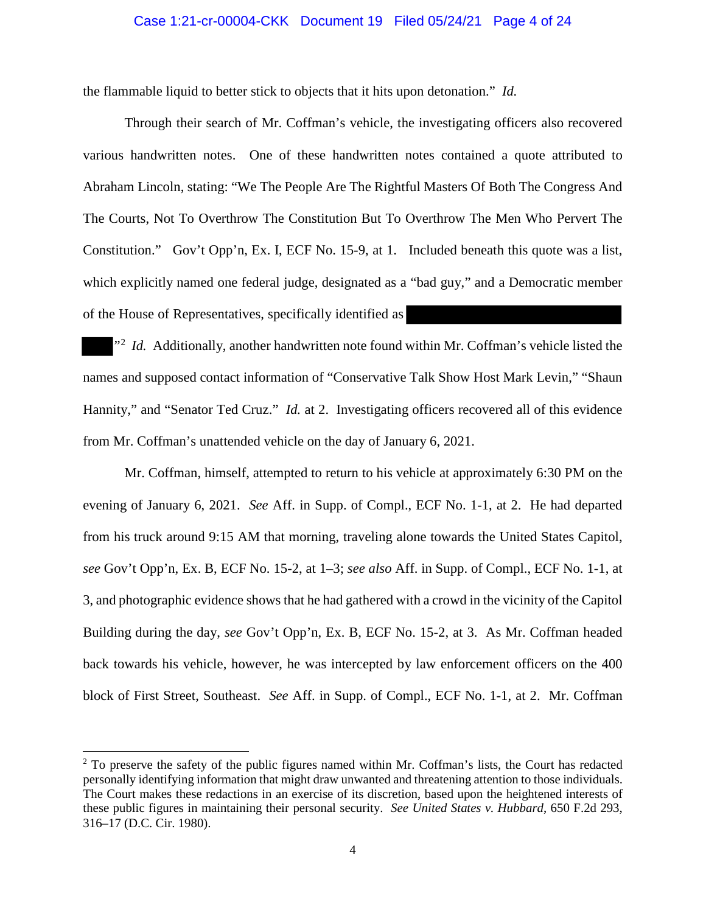#### Case 1:21-cr-00004-CKK Document 19 Filed 05/24/21 Page 4 of 24

the flammable liquid to better stick to objects that it hits upon detonation." *Id.*

Through their search of Mr. Coffman's vehicle, the investigating officers also recovered various handwritten notes. One of these handwritten notes contained a quote attributed to Abraham Lincoln, stating: "We The People Are The Rightful Masters Of Both The Congress And The Courts, Not To Overthrow The Constitution But To Overthrow The Men Who Pervert The Constitution." Gov't Opp'n, Ex. I, ECF No. 15-9, at 1. Included beneath this quote was a list, which explicitly named one federal judge, designated as a "bad guy," and a Democratic member of the House of Representatives, specifically identified as

<sup>2</sup> *Id.* Additionally, another handwritten note found within Mr. Coffman's vehicle listed the names and supposed contact information of "Conservative Talk Show Host Mark Levin," "Shaun Hannity," and "Senator Ted Cruz." *Id.* at 2. Investigating officers recovered all of this evidence from Mr. Coffman's unattended vehicle on the day of January 6, 2021.

Mr. Coffman, himself, attempted to return to his vehicle at approximately 6:30 PM on the evening of January 6, 2021. *See* Aff. in Supp. of Compl., ECF No. 1-1, at 2. He had departed from his truck around 9:15 AM that morning, traveling alone towards the United States Capitol, *see* Gov't Opp'n, Ex. B, ECF No. 15-2, at 1–3; *see also* Aff. in Supp. of Compl., ECF No. 1-1, at 3, and photographic evidence shows that he had gathered with a crowd in the vicinity of the Capitol Building during the day, *see* Gov't Opp'n, Ex. B, ECF No. 15-2, at 3. As Mr. Coffman headed back towards his vehicle, however, he was intercepted by law enforcement officers on the 400 block of First Street, Southeast. *See* Aff. in Supp. of Compl., ECF No. 1-1, at 2. Mr. Coffman

 $\overline{a}$ 

<sup>&</sup>lt;sup>2</sup> To preserve the safety of the public figures named within Mr. Coffman's lists, the Court has redacted personally identifying information that might draw unwanted and threatening attention to those individuals. The Court makes these redactions in an exercise of its discretion, based upon the heightened interests of these public figures in maintaining their personal security. *See United States v. Hubbard*, 650 F.2d 293, 316–17 (D.C. Cir. 1980).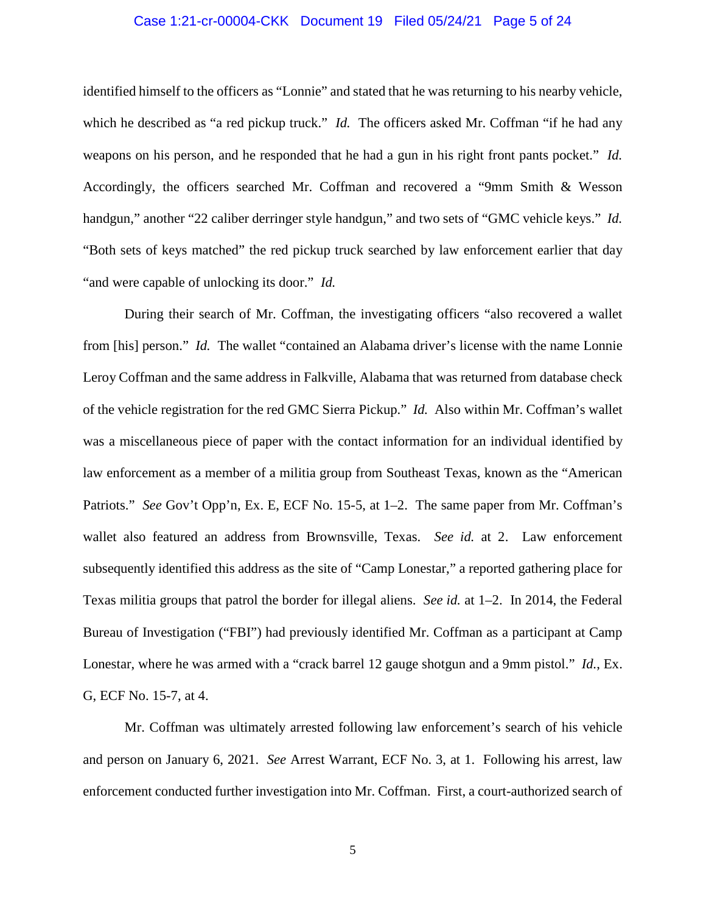## Case 1:21-cr-00004-CKK Document 19 Filed 05/24/21 Page 5 of 24

identified himself to the officers as "Lonnie" and stated that he was returning to his nearby vehicle, which he described as "a red pickup truck." *Id.* The officers asked Mr. Coffman "if he had any weapons on his person, and he responded that he had a gun in his right front pants pocket." *Id.* Accordingly, the officers searched Mr. Coffman and recovered a "9mm Smith & Wesson handgun," another "22 caliber derringer style handgun," and two sets of "GMC vehicle keys." *Id.* "Both sets of keys matched" the red pickup truck searched by law enforcement earlier that day "and were capable of unlocking its door." *Id.*

During their search of Mr. Coffman, the investigating officers "also recovered a wallet from [his] person." *Id.* The wallet "contained an Alabama driver's license with the name Lonnie Leroy Coffman and the same address in Falkville, Alabama that was returned from database check of the vehicle registration for the red GMC Sierra Pickup." *Id.* Also within Mr. Coffman's wallet was a miscellaneous piece of paper with the contact information for an individual identified by law enforcement as a member of a militia group from Southeast Texas, known as the "American Patriots." *See* Gov't Opp'n, Ex. E, ECF No. 15-5, at 1–2. The same paper from Mr. Coffman's wallet also featured an address from Brownsville, Texas. *See id.* at 2. Law enforcement subsequently identified this address as the site of "Camp Lonestar," a reported gathering place for Texas militia groups that patrol the border for illegal aliens. *See id.* at 1–2. In 2014, the Federal Bureau of Investigation ("FBI") had previously identified Mr. Coffman as a participant at Camp Lonestar, where he was armed with a "crack barrel 12 gauge shotgun and a 9mm pistol." *Id.*, Ex. G, ECF No. 15-7, at 4.

Mr. Coffman was ultimately arrested following law enforcement's search of his vehicle and person on January 6, 2021. *See* Arrest Warrant, ECF No. 3, at 1. Following his arrest, law enforcement conducted further investigation into Mr. Coffman. First, a court-authorized search of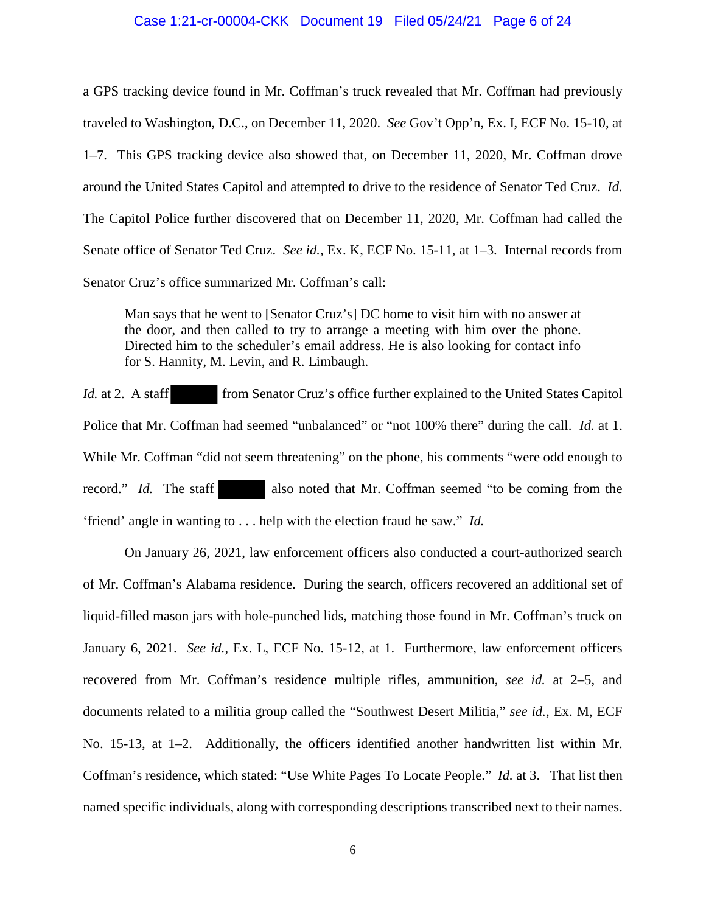#### Case 1:21-cr-00004-CKK Document 19 Filed 05/24/21 Page 6 of 24

a GPS tracking device found in Mr. Coffman's truck revealed that Mr. Coffman had previously traveled to Washington, D.C., on December 11, 2020. *See* Gov't Opp'n, Ex. I, ECF No. 15-10, at 1–7. This GPS tracking device also showed that, on December 11, 2020, Mr. Coffman drove around the United States Capitol and attempted to drive to the residence of Senator Ted Cruz. *Id.* The Capitol Police further discovered that on December 11, 2020, Mr. Coffman had called the Senate office of Senator Ted Cruz. *See id.*, Ex. K, ECF No. 15-11, at 1–3. Internal records from Senator Cruz's office summarized Mr. Coffman's call:

Man says that he went to [Senator Cruz's] DC home to visit him with no answer at the door, and then called to try to arrange a meeting with him over the phone. Directed him to the scheduler's email address. He is also looking for contact info for S. Hannity, M. Levin, and R. Limbaugh.

*Id.* at 2. A staff from Senator Cruz's office further explained to the United States Capitol Police that Mr. Coffman had seemed "unbalanced" or "not 100% there" during the call. *Id.* at 1. While Mr. Coffman "did not seem threatening" on the phone, his comments "were odd enough to record." *Id.* The staff also noted that Mr. Coffman seemed "to be coming from the 'friend' angle in wanting to . . . help with the election fraud he saw." *Id.*

On January 26, 2021, law enforcement officers also conducted a court-authorized search of Mr. Coffman's Alabama residence. During the search, officers recovered an additional set of liquid-filled mason jars with hole-punched lids, matching those found in Mr. Coffman's truck on January 6, 2021. *See id.*, Ex. L, ECF No. 15-12, at 1. Furthermore, law enforcement officers recovered from Mr. Coffman's residence multiple rifles, ammunition, *see id.* at 2–5, and documents related to a militia group called the "Southwest Desert Militia," *see id.*, Ex. M, ECF No. 15-13, at 1–2. Additionally, the officers identified another handwritten list within Mr. Coffman's residence, which stated: "Use White Pages To Locate People." *Id.* at 3. That list then named specific individuals, along with corresponding descriptions transcribed next to their names.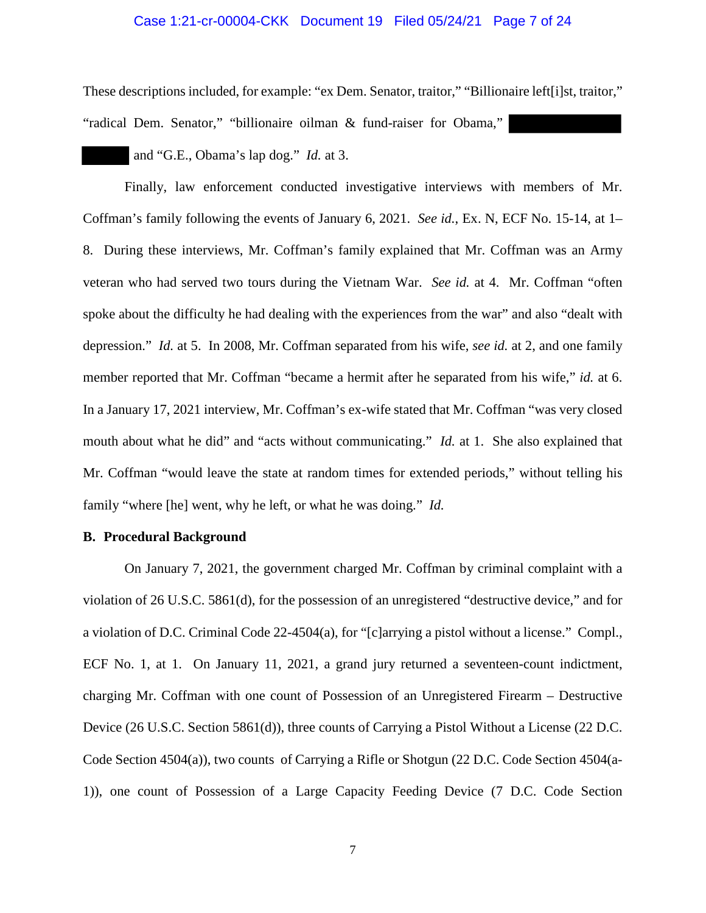### Case 1:21-cr-00004-CKK Document 19 Filed 05/24/21 Page 7 of 24

These descriptions included, for example: "ex Dem. Senator, traitor," "Billionaire left[i]st, traitor,"

"radical Dem. Senator," "billionaire oilman & fund-raiser for Obama,"

and "G.E., Obama's lap dog." *Id.* at 3.

Finally, law enforcement conducted investigative interviews with members of Mr. Coffman's family following the events of January 6, 2021. *See id.*, Ex. N, ECF No. 15-14, at 1– 8. During these interviews, Mr. Coffman's family explained that Mr. Coffman was an Army veteran who had served two tours during the Vietnam War. *See id.* at 4. Mr. Coffman "often spoke about the difficulty he had dealing with the experiences from the war" and also "dealt with depression." *Id.* at 5. In 2008, Mr. Coffman separated from his wife, *see id.* at 2, and one family member reported that Mr. Coffman "became a hermit after he separated from his wife," *id.* at 6. In a January 17, 2021 interview, Mr. Coffman's ex-wife stated that Mr. Coffman "was very closed mouth about what he did" and "acts without communicating." *Id.* at 1. She also explained that Mr. Coffman "would leave the state at random times for extended periods," without telling his family "where [he] went, why he left, or what he was doing." *Id.*

#### **B. Procedural Background**

On January 7, 2021, the government charged Mr. Coffman by criminal complaint with a violation of 26 U.S.C. 5861(d), for the possession of an unregistered "destructive device," and for a violation of D.C. Criminal Code 22-4504(a), for "[c]arrying a pistol without a license." Compl., ECF No. 1, at 1. On January 11, 2021, a grand jury returned a seventeen-count indictment, charging Mr. Coffman with one count of Possession of an Unregistered Firearm – Destructive Device (26 U.S.C. Section 5861(d)), three counts of Carrying a Pistol Without a License (22 D.C. Code Section 4504(a)), two counts of Carrying a Rifle or Shotgun (22 D.C. Code Section 4504(a-1)), one count of Possession of a Large Capacity Feeding Device (7 D.C. Code Section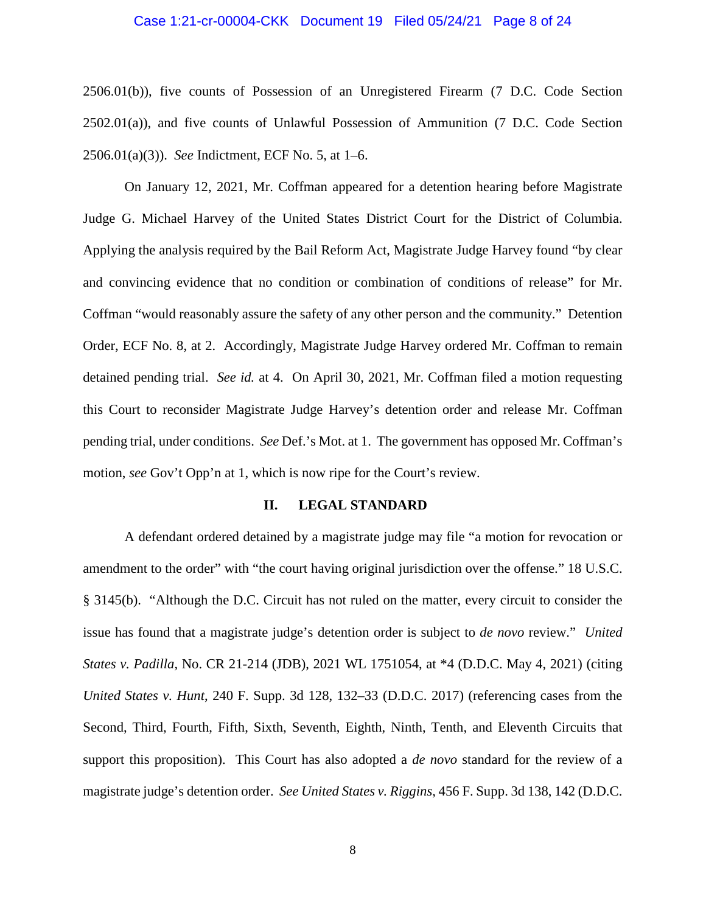#### Case 1:21-cr-00004-CKK Document 19 Filed 05/24/21 Page 8 of 24

2506.01(b)), five counts of Possession of an Unregistered Firearm (7 D.C. Code Section 2502.01(a)), and five counts of Unlawful Possession of Ammunition (7 D.C. Code Section 2506.01(a)(3)). *See* Indictment, ECF No. 5, at 1–6.

On January 12, 2021, Mr. Coffman appeared for a detention hearing before Magistrate Judge G. Michael Harvey of the United States District Court for the District of Columbia. Applying the analysis required by the Bail Reform Act, Magistrate Judge Harvey found "by clear and convincing evidence that no condition or combination of conditions of release" for Mr. Coffman "would reasonably assure the safety of any other person and the community." Detention Order, ECF No. 8, at 2. Accordingly, Magistrate Judge Harvey ordered Mr. Coffman to remain detained pending trial. *See id.* at 4. On April 30, 2021, Mr. Coffman filed a motion requesting this Court to reconsider Magistrate Judge Harvey's detention order and release Mr. Coffman pending trial, under conditions. *See* Def.'s Mot. at 1. The government has opposed Mr. Coffman's motion, *see* Gov't Opp'n at 1, which is now ripe for the Court's review.

#### **II. LEGAL STANDARD**

A defendant ordered detained by a magistrate judge may file "a motion for revocation or amendment to the order" with "the court having original jurisdiction over the offense." 18 U.S.C. § 3145(b). "Although the D.C. Circuit has not ruled on the matter, every circuit to consider the issue has found that a magistrate judge's detention order is subject to *de novo* review." *United States v. Padilla*, No. CR 21-214 (JDB), 2021 WL 1751054, at \*4 (D.D.C. May 4, 2021) (citing *United States v. Hunt*, 240 F. Supp. 3d 128, 132–33 (D.D.C. 2017) (referencing cases from the Second, Third, Fourth, Fifth, Sixth, Seventh, Eighth, Ninth, Tenth, and Eleventh Circuits that support this proposition). This Court has also adopted a *de novo* standard for the review of a magistrate judge's detention order. *See United States v. Riggins*, 456 F. Supp. 3d 138, 142 (D.D.C.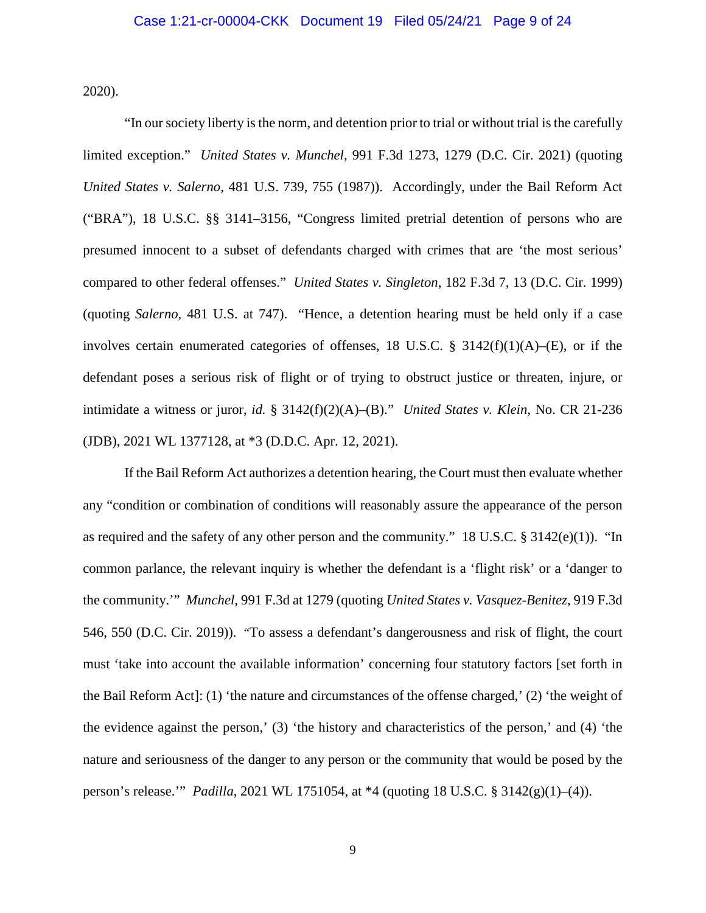2020).

"In our society liberty is the norm, and detention prior to trial or without trial is the carefully limited exception." *United States v. Munchel*, 991 F.3d 1273, 1279 (D.C. Cir. 2021) (quoting *United States v. Salerno*, 481 U.S. 739, 755 (1987)). Accordingly, under the Bail Reform Act ("BRA"), 18 U.S.C. §§ 3141–3156, "Congress limited pretrial detention of persons who are presumed innocent to a subset of defendants charged with crimes that are 'the most serious' compared to other federal offenses." *United States v. Singleton*, 182 F.3d 7, 13 (D.C. Cir. 1999) (quoting *Salerno*, 481 U.S. at 747). "Hence, a detention hearing must be held only if a case involves certain enumerated categories of offenses, 18 U.S.C.  $\S$  3142(f)(1)(A)–(E), or if the defendant poses a serious risk of flight or of trying to obstruct justice or threaten, injure, or intimidate a witness or juror, *id.* § 3142(f)(2)(A)–(B)." *United States v. Klein*, No. CR 21-236 (JDB), 2021 WL 1377128, at \*3 (D.D.C. Apr. 12, 2021).

If the Bail Reform Act authorizes a detention hearing, the Court must then evaluate whether any "condition or combination of conditions will reasonably assure the appearance of the person as required and the safety of any other person and the community." 18 U.S.C. § 3142(e)(1)). "In common parlance, the relevant inquiry is whether the defendant is a 'flight risk' or a 'danger to the community.'" *Munchel*, 991 F.3d at 1279 (quoting *United States v. Vasquez-Benitez*, 919 F.3d 546, 550 (D.C. Cir. 2019)). "To assess a defendant's dangerousness and risk of flight, the court must 'take into account the available information' concerning four statutory factors [set forth in the Bail Reform Act]: (1) 'the nature and circumstances of the offense charged,' (2) 'the weight of the evidence against the person,' (3) 'the history and characteristics of the person,' and (4) 'the nature and seriousness of the danger to any person or the community that would be posed by the person's release.'" *Padilla*, 2021 WL 1751054, at \*4 (quoting 18 U.S.C. § 3142(g)(1)–(4)).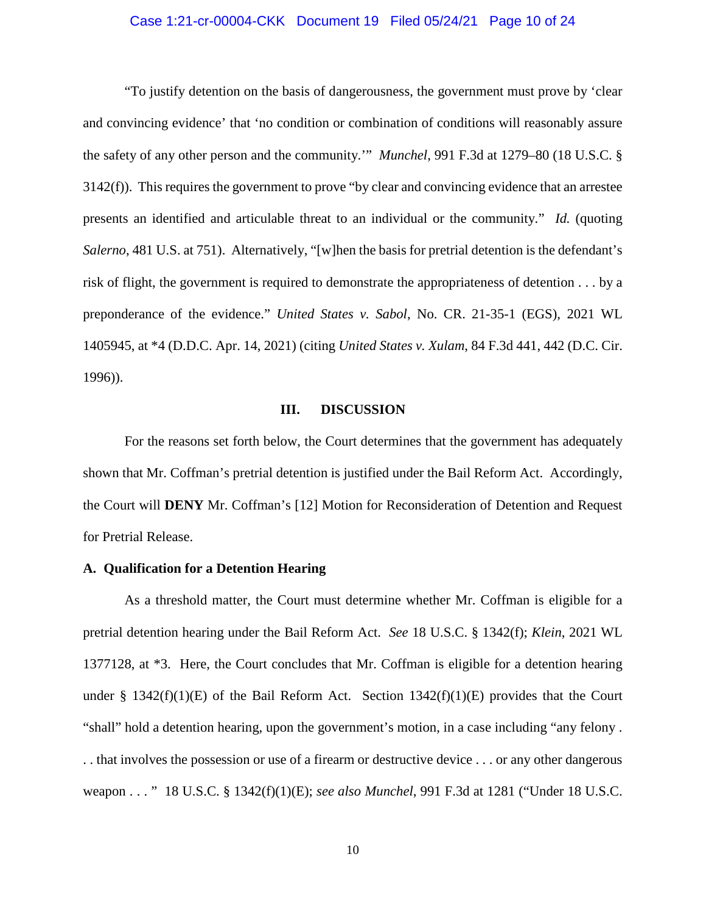## Case 1:21-cr-00004-CKK Document 19 Filed 05/24/21 Page 10 of 24

"To justify detention on the basis of dangerousness, the government must prove by 'clear and convincing evidence' that 'no condition or combination of conditions will reasonably assure the safety of any other person and the community.'" *Munchel*, 991 F.3d at 1279–80 (18 U.S.C. § 3142(f)). This requires the government to prove "by clear and convincing evidence that an arrestee presents an identified and articulable threat to an individual or the community." *Id.* (quoting *Salerno*, 481 U.S. at 751). Alternatively, "[w]hen the basis for pretrial detention is the defendant's risk of flight, the government is required to demonstrate the appropriateness of detention . . . by a preponderance of the evidence." *United States v. Sabol*, No. CR. 21-35-1 (EGS), 2021 WL 1405945, at \*4 (D.D.C. Apr. 14, 2021) (citing *United States v. Xulam*, 84 F.3d 441, 442 (D.C. Cir. 1996)).

#### **III. DISCUSSION**

For the reasons set forth below, the Court determines that the government has adequately shown that Mr. Coffman's pretrial detention is justified under the Bail Reform Act. Accordingly, the Court will **DENY** Mr. Coffman's [12] Motion for Reconsideration of Detention and Request for Pretrial Release.

## **A. Qualification for a Detention Hearing**

As a threshold matter, the Court must determine whether Mr. Coffman is eligible for a pretrial detention hearing under the Bail Reform Act. *See* 18 U.S.C. § 1342(f); *Klein*, 2021 WL 1377128, at \*3. Here, the Court concludes that Mr. Coffman is eligible for a detention hearing under § 1342(f)(1)(E) of the Bail Reform Act. Section  $1342(f)(1)(E)$  provides that the Court "shall" hold a detention hearing, upon the government's motion, in a case including "any felony . . . that involves the possession or use of a firearm or destructive device . . . or any other dangerous weapon . . . " 18 U.S.C. § 1342(f)(1)(E); *see also Munchel*, 991 F.3d at 1281 ("Under 18 U.S.C.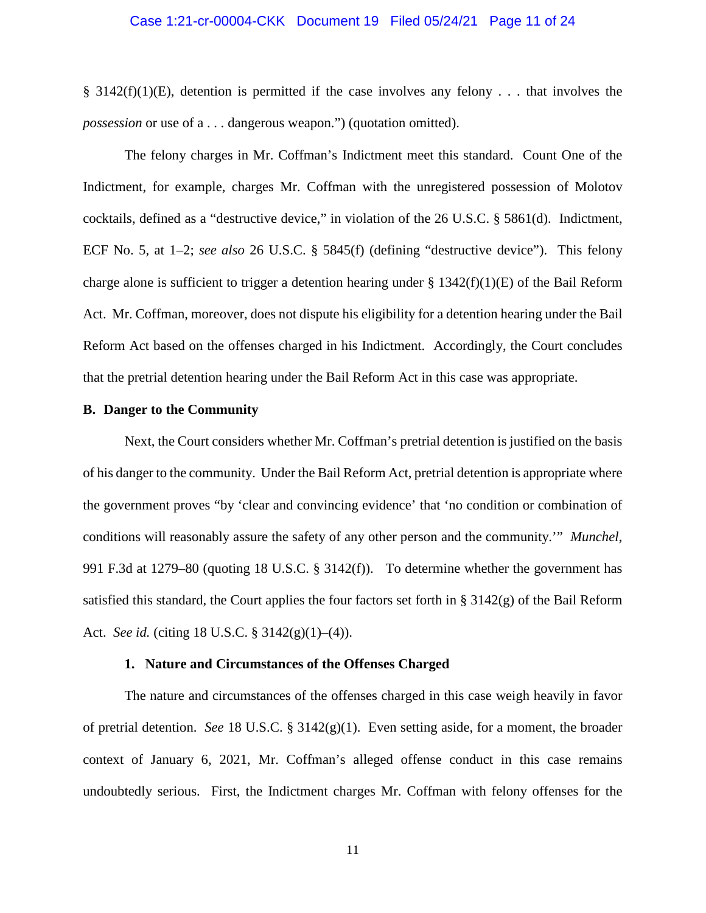### Case 1:21-cr-00004-CKK Document 19 Filed 05/24/21 Page 11 of 24

 $\S$  3142(f)(1)(E), detention is permitted if the case involves any felony . . . that involves the *possession* or use of a . . . dangerous weapon.") (quotation omitted).

The felony charges in Mr. Coffman's Indictment meet this standard. Count One of the Indictment, for example, charges Mr. Coffman with the unregistered possession of Molotov cocktails, defined as a "destructive device," in violation of the 26 U.S.C. § 5861(d). Indictment, ECF No. 5, at 1–2; *see also* 26 U.S.C. § 5845(f) (defining "destructive device"). This felony charge alone is sufficient to trigger a detention hearing under  $\S 1342(f)(1)(E)$  of the Bail Reform Act. Mr. Coffman, moreover, does not dispute his eligibility for a detention hearing under the Bail Reform Act based on the offenses charged in his Indictment. Accordingly, the Court concludes that the pretrial detention hearing under the Bail Reform Act in this case was appropriate.

#### **B. Danger to the Community**

Next, the Court considers whether Mr. Coffman's pretrial detention is justified on the basis of his danger to the community. Under the Bail Reform Act, pretrial detention is appropriate where the government proves "by 'clear and convincing evidence' that 'no condition or combination of conditions will reasonably assure the safety of any other person and the community.'" *Munchel*, 991 F.3d at 1279–80 (quoting 18 U.S.C. § 3142(f)). To determine whether the government has satisfied this standard, the Court applies the four factors set forth in  $\S 3142(g)$  of the Bail Reform Act. *See id.* (citing 18 U.S.C. § 3142(g)(1)–(4)).

#### **1. Nature and Circumstances of the Offenses Charged**

The nature and circumstances of the offenses charged in this case weigh heavily in favor of pretrial detention. *See* 18 U.S.C. § 3142(g)(1). Even setting aside, for a moment, the broader context of January 6, 2021, Mr. Coffman's alleged offense conduct in this case remains undoubtedly serious. First, the Indictment charges Mr. Coffman with felony offenses for the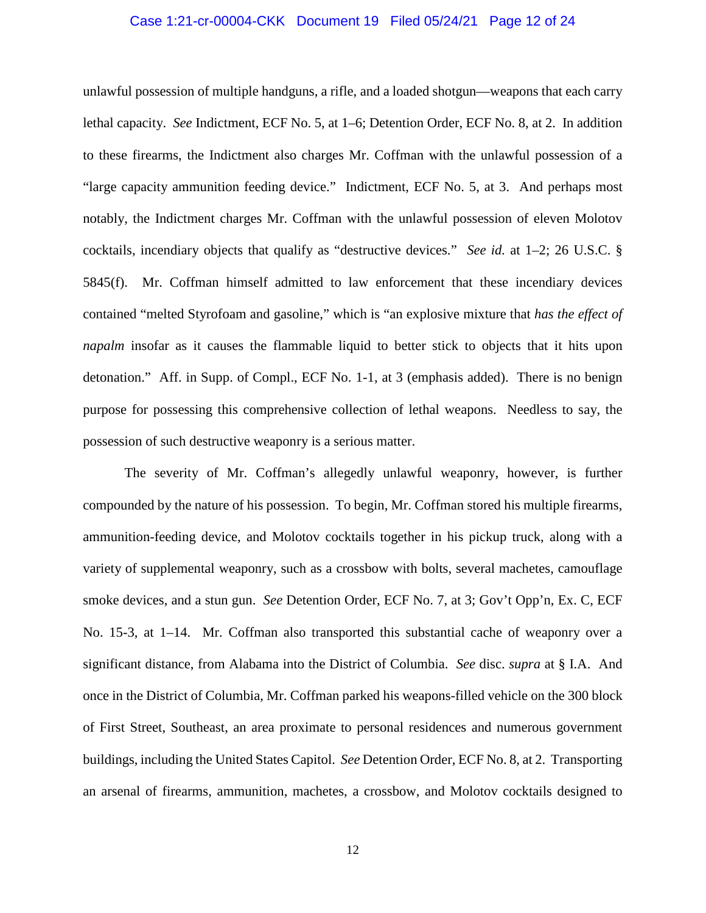## Case 1:21-cr-00004-CKK Document 19 Filed 05/24/21 Page 12 of 24

unlawful possession of multiple handguns, a rifle, and a loaded shotgun—weapons that each carry lethal capacity. *See* Indictment, ECF No. 5, at 1–6; Detention Order, ECF No. 8, at 2. In addition to these firearms, the Indictment also charges Mr. Coffman with the unlawful possession of a "large capacity ammunition feeding device." Indictment, ECF No. 5, at 3. And perhaps most notably, the Indictment charges Mr. Coffman with the unlawful possession of eleven Molotov cocktails, incendiary objects that qualify as "destructive devices." *See id.* at 1–2; 26 U.S.C. § 5845(f). Mr. Coffman himself admitted to law enforcement that these incendiary devices contained "melted Styrofoam and gasoline," which is "an explosive mixture that *has the effect of napalm* insofar as it causes the flammable liquid to better stick to objects that it hits upon detonation." Aff. in Supp. of Compl., ECF No. 1-1, at 3 (emphasis added). There is no benign purpose for possessing this comprehensive collection of lethal weapons. Needless to say, the possession of such destructive weaponry is a serious matter.

The severity of Mr. Coffman's allegedly unlawful weaponry, however, is further compounded by the nature of his possession. To begin, Mr. Coffman stored his multiple firearms, ammunition-feeding device, and Molotov cocktails together in his pickup truck, along with a variety of supplemental weaponry, such as a crossbow with bolts, several machetes, camouflage smoke devices, and a stun gun. *See* Detention Order, ECF No. 7, at 3; Gov't Opp'n, Ex. C, ECF No. 15-3, at 1–14. Mr. Coffman also transported this substantial cache of weaponry over a significant distance, from Alabama into the District of Columbia. *See* disc. *supra* at § I.A. And once in the District of Columbia, Mr. Coffman parked his weapons-filled vehicle on the 300 block of First Street, Southeast, an area proximate to personal residences and numerous government buildings, including the United States Capitol. *See* Detention Order, ECF No. 8, at 2. Transporting an arsenal of firearms, ammunition, machetes, a crossbow, and Molotov cocktails designed to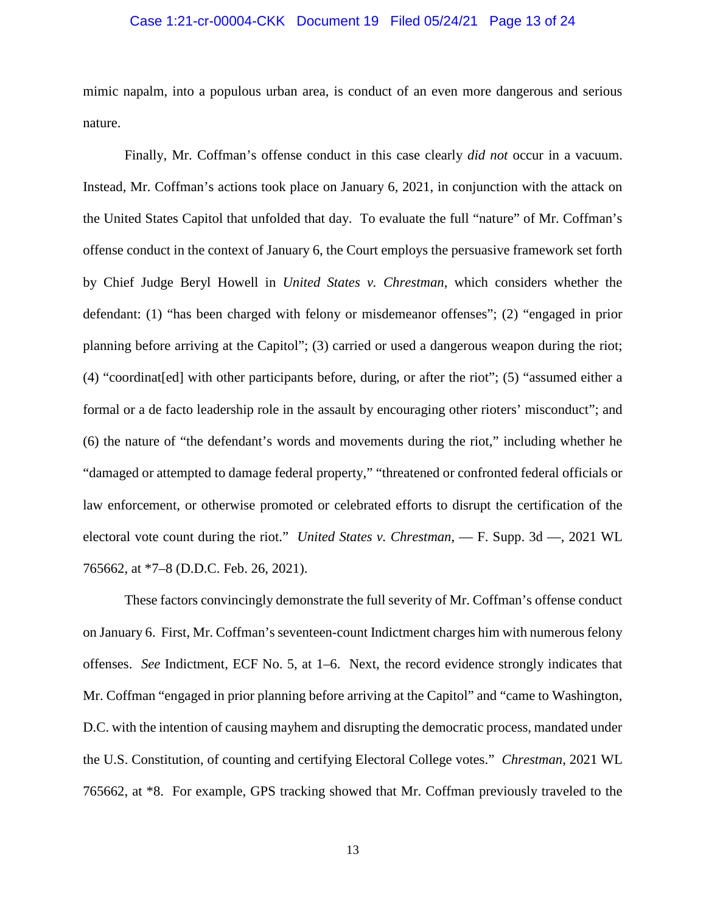## Case 1:21-cr-00004-CKK Document 19 Filed 05/24/21 Page 13 of 24

mimic napalm, into a populous urban area, is conduct of an even more dangerous and serious nature.

Finally, Mr. Coffman's offense conduct in this case clearly *did not* occur in a vacuum. Instead, Mr. Coffman's actions took place on January 6, 2021, in conjunction with the attack on the United States Capitol that unfolded that day. To evaluate the full "nature" of Mr. Coffman's offense conduct in the context of January 6, the Court employs the persuasive framework set forth by Chief Judge Beryl Howell in *United States v. Chrestman*, which considers whether the defendant: (1) "has been charged with felony or misdemeanor offenses"; (2) "engaged in prior planning before arriving at the Capitol"; (3) carried or used a dangerous weapon during the riot; (4) "coordinat[ed] with other participants before, during, or after the riot"; (5) "assumed either a formal or a de facto leadership role in the assault by encouraging other rioters' misconduct"; and (6) the nature of "the defendant's words and movements during the riot," including whether he "damaged or attempted to damage federal property," "threatened or confronted federal officials or law enforcement, or otherwise promoted or celebrated efforts to disrupt the certification of the electoral vote count during the riot." *United States v. Chrestman*, — F. Supp. 3d —, 2021 WL 765662, at \*7–8 (D.D.C. Feb. 26, 2021).

These factors convincingly demonstrate the full severity of Mr. Coffman's offense conduct on January 6. First, Mr. Coffman's seventeen-count Indictment charges him with numerous felony offenses. *See* Indictment, ECF No. 5, at 1–6. Next, the record evidence strongly indicates that Mr. Coffman "engaged in prior planning before arriving at the Capitol" and "came to Washington, D.C. with the intention of causing mayhem and disrupting the democratic process, mandated under the U.S. Constitution, of counting and certifying Electoral College votes." *Chrestman*, 2021 WL 765662, at \*8. For example, GPS tracking showed that Mr. Coffman previously traveled to the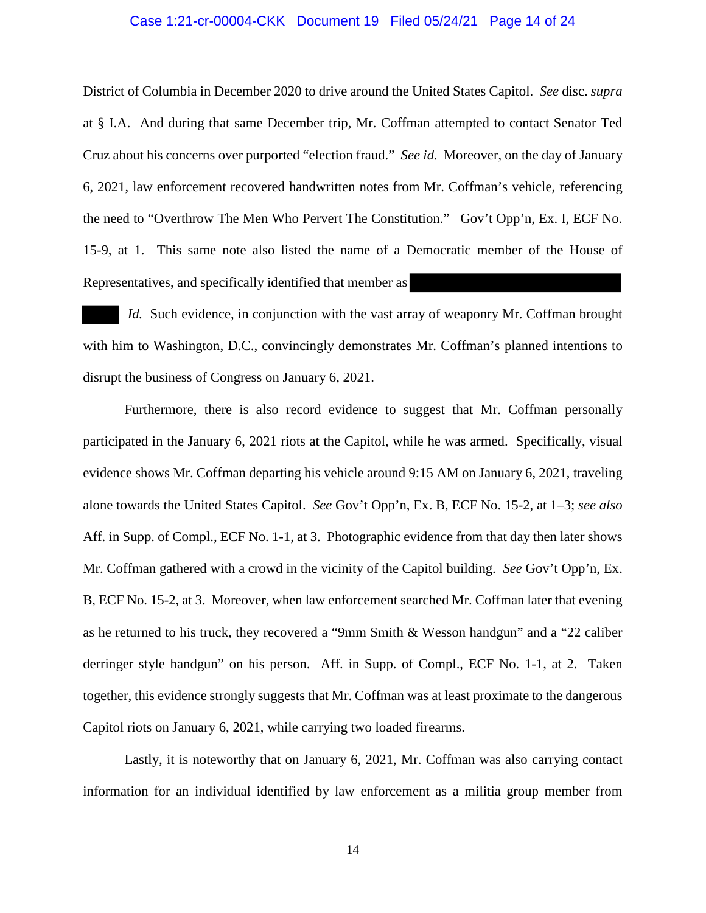## Case 1:21-cr-00004-CKK Document 19 Filed 05/24/21 Page 14 of 24

District of Columbia in December 2020 to drive around the United States Capitol. *See* disc. *supra* at § I.A. And during that same December trip, Mr. Coffman attempted to contact Senator Ted Cruz about his concerns over purported "election fraud." *See id.* Moreover, on the day of January 6, 2021, law enforcement recovered handwritten notes from Mr. Coffman's vehicle, referencing the need to "Overthrow The Men Who Pervert The Constitution." Gov't Opp'n, Ex. I, ECF No. 15-9, at 1. This same note also listed the name of a Democratic member of the House of Representatives, and specifically identified that member as

*Id.* Such evidence, in conjunction with the vast array of weaponry Mr. Coffman brought with him to Washington, D.C., convincingly demonstrates Mr. Coffman's planned intentions to disrupt the business of Congress on January 6, 2021.

 Furthermore, there is also record evidence to suggest that Mr. Coffman personally participated in the January 6, 2021 riots at the Capitol, while he was armed. Specifically, visual evidence shows Mr. Coffman departing his vehicle around 9:15 AM on January 6, 2021, traveling alone towards the United States Capitol. *See* Gov't Opp'n, Ex. B, ECF No. 15-2, at 1–3; *see also* Aff. in Supp. of Compl., ECF No. 1-1, at 3. Photographic evidence from that day then later shows Mr. Coffman gathered with a crowd in the vicinity of the Capitol building. *See* Gov't Opp'n, Ex. B, ECF No. 15-2, at 3. Moreover, when law enforcement searched Mr. Coffman later that evening as he returned to his truck, they recovered a "9mm Smith & Wesson handgun" and a "22 caliber derringer style handgun" on his person. Aff. in Supp. of Compl., ECF No. 1-1, at 2. Taken together, this evidence strongly suggests that Mr. Coffman was at least proximate to the dangerous Capitol riots on January 6, 2021, while carrying two loaded firearms.

 Lastly, it is noteworthy that on January 6, 2021, Mr. Coffman was also carrying contact information for an individual identified by law enforcement as a militia group member from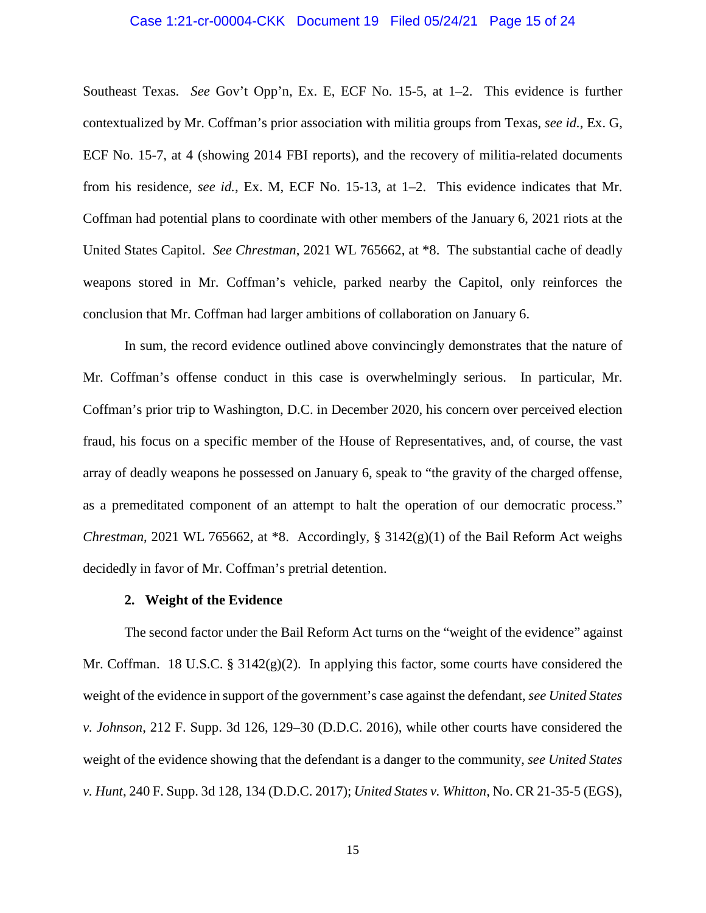#### Case 1:21-cr-00004-CKK Document 19 Filed 05/24/21 Page 15 of 24

Southeast Texas. *See* Gov't Opp'n, Ex. E, ECF No. 15-5, at 1–2. This evidence is further contextualized by Mr. Coffman's prior association with militia groups from Texas, *see id.*, Ex. G, ECF No. 15-7, at 4 (showing 2014 FBI reports), and the recovery of militia-related documents from his residence, *see id.*, Ex. M, ECF No. 15-13, at 1–2. This evidence indicates that Mr. Coffman had potential plans to coordinate with other members of the January 6, 2021 riots at the United States Capitol. *See Chrestman*, 2021 WL 765662, at \*8. The substantial cache of deadly weapons stored in Mr. Coffman's vehicle, parked nearby the Capitol, only reinforces the conclusion that Mr. Coffman had larger ambitions of collaboration on January 6.

In sum, the record evidence outlined above convincingly demonstrates that the nature of Mr. Coffman's offense conduct in this case is overwhelmingly serious. In particular, Mr. Coffman's prior trip to Washington, D.C. in December 2020, his concern over perceived election fraud, his focus on a specific member of the House of Representatives, and, of course, the vast array of deadly weapons he possessed on January 6, speak to "the gravity of the charged offense, as a premeditated component of an attempt to halt the operation of our democratic process." *Chrestman*, 2021 WL 765662, at \*8. Accordingly, § 3142(g)(1) of the Bail Reform Act weighs decidedly in favor of Mr. Coffman's pretrial detention.

## **2. Weight of the Evidence**

The second factor under the Bail Reform Act turns on the "weight of the evidence" against Mr. Coffman. 18 U.S.C. § 3142(g)(2). In applying this factor, some courts have considered the weight of the evidence in support of the government's case against the defendant, *see United States v. Johnson*, 212 F. Supp. 3d 126, 129–30 (D.D.C. 2016), while other courts have considered the weight of the evidence showing that the defendant is a danger to the community, *see United States v. Hunt*, 240 F. Supp. 3d 128, 134 (D.D.C. 2017); *United States v. Whitton*, No. CR 21-35-5 (EGS),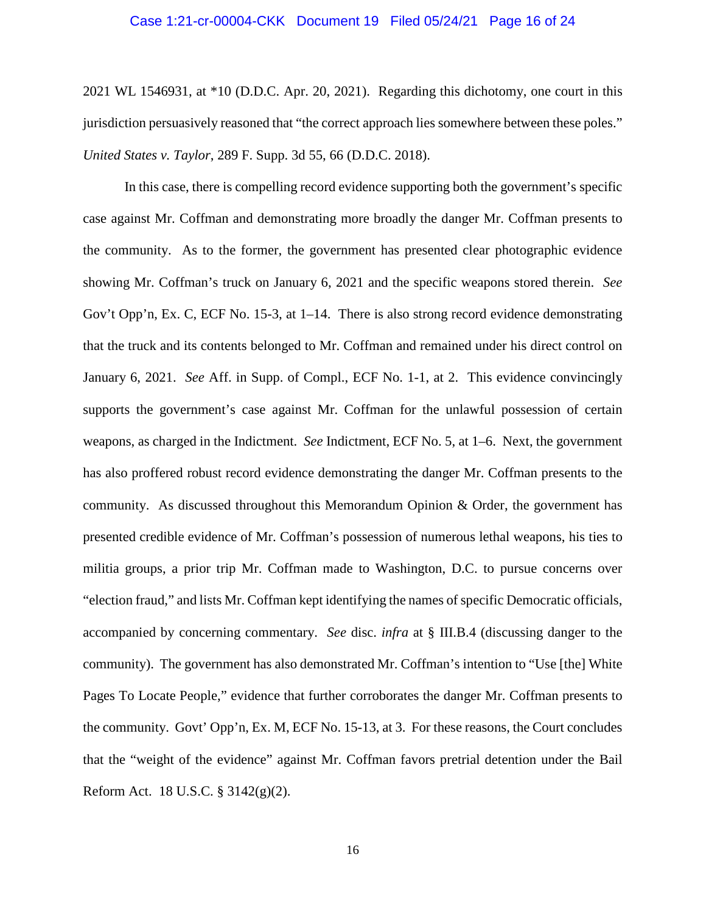#### Case 1:21-cr-00004-CKK Document 19 Filed 05/24/21 Page 16 of 24

2021 WL 1546931, at \*10 (D.D.C. Apr. 20, 2021). Regarding this dichotomy, one court in this jurisdiction persuasively reasoned that "the correct approach lies somewhere between these poles." *United States v. Taylor*, 289 F. Supp. 3d 55, 66 (D.D.C. 2018).

In this case, there is compelling record evidence supporting both the government's specific case against Mr. Coffman and demonstrating more broadly the danger Mr. Coffman presents to the community. As to the former, the government has presented clear photographic evidence showing Mr. Coffman's truck on January 6, 2021 and the specific weapons stored therein. *See* Gov't Opp'n, Ex. C, ECF No. 15-3, at 1–14. There is also strong record evidence demonstrating that the truck and its contents belonged to Mr. Coffman and remained under his direct control on January 6, 2021. *See* Aff. in Supp. of Compl., ECF No. 1-1, at 2. This evidence convincingly supports the government's case against Mr. Coffman for the unlawful possession of certain weapons, as charged in the Indictment. *See* Indictment, ECF No. 5, at 1–6. Next, the government has also proffered robust record evidence demonstrating the danger Mr. Coffman presents to the community. As discussed throughout this Memorandum Opinion & Order, the government has presented credible evidence of Mr. Coffman's possession of numerous lethal weapons, his ties to militia groups, a prior trip Mr. Coffman made to Washington, D.C. to pursue concerns over "election fraud," and lists Mr. Coffman kept identifying the names of specific Democratic officials, accompanied by concerning commentary. *See* disc. *infra* at § III.B.4 (discussing danger to the community). The government has also demonstrated Mr. Coffman's intention to "Use [the] White Pages To Locate People," evidence that further corroborates the danger Mr. Coffman presents to the community. Govt' Opp'n, Ex. M, ECF No. 15-13, at 3. For these reasons, the Court concludes that the "weight of the evidence" against Mr. Coffman favors pretrial detention under the Bail Reform Act. 18 U.S.C. § 3142(g)(2).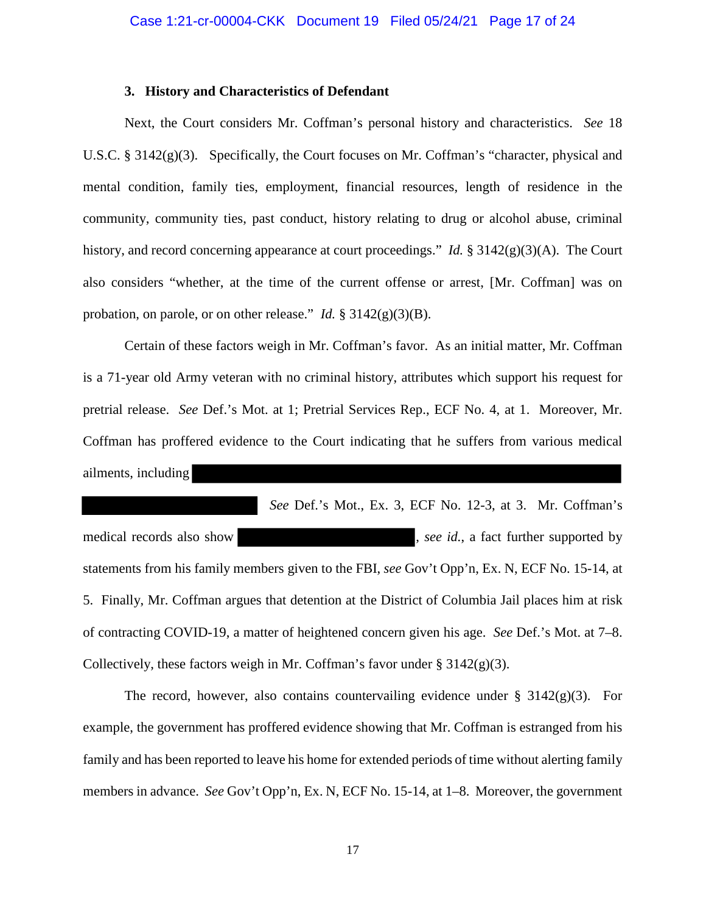## **3. History and Characteristics of Defendant**

Next, the Court considers Mr. Coffman's personal history and characteristics. *See* 18 U.S.C. §  $3142(g)(3)$ . Specifically, the Court focuses on Mr. Coffman's "character, physical and mental condition, family ties, employment, financial resources, length of residence in the community, community ties, past conduct, history relating to drug or alcohol abuse, criminal history, and record concerning appearance at court proceedings." *Id.* § 3142(g)(3)(A). The Court also considers "whether, at the time of the current offense or arrest, [Mr. Coffman] was on probation, on parole, or on other release." *Id.* § 3142(g)(3)(B).

 Certain of these factors weigh in Mr. Coffman's favor. As an initial matter, Mr. Coffman is a 71-year old Army veteran with no criminal history, attributes which support his request for pretrial release. *See* Def.'s Mot. at 1; Pretrial Services Rep., ECF No. 4, at 1. Moreover, Mr. Coffman has proffered evidence to the Court indicating that he suffers from various medical ailments, including

 *See* Def.'s Mot., Ex. 3, ECF No. 12-3, at 3. Mr. Coffman's medical records also show , *see id.*, a fact further supported by statements from his family members given to the FBI, *see* Gov't Opp'n, Ex. N, ECF No. 15-14, at 5. Finally, Mr. Coffman argues that detention at the District of Columbia Jail places him at risk of contracting COVID-19, a matter of heightened concern given his age. *See* Def.'s Mot. at 7–8. Collectively, these factors weigh in Mr. Coffman's favor under  $\S 3142(g)(3)$ .

The record, however, also contains countervailing evidence under  $\S$  3142(g)(3). For example, the government has proffered evidence showing that Mr. Coffman is estranged from his family and has been reported to leave his home for extended periods of time without alerting family members in advance. *See* Gov't Opp'n, Ex. N, ECF No. 15-14, at 1–8. Moreover, the government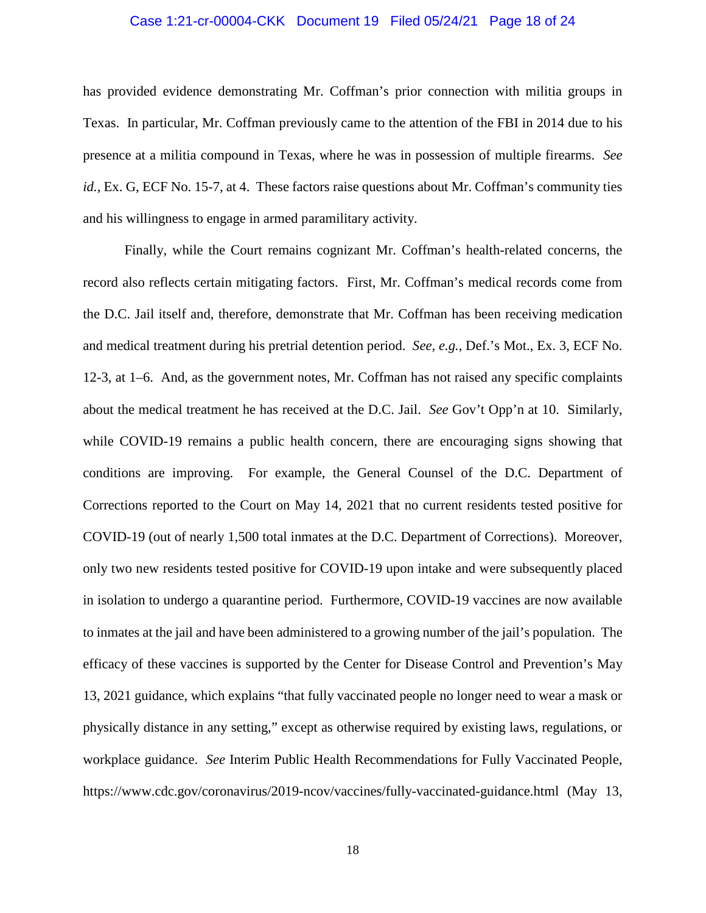## Case 1:21-cr-00004-CKK Document 19 Filed 05/24/21 Page 18 of 24

has provided evidence demonstrating Mr. Coffman's prior connection with militia groups in Texas. In particular, Mr. Coffman previously came to the attention of the FBI in 2014 due to his presence at a militia compound in Texas, where he was in possession of multiple firearms. *See id.*, Ex. G, ECF No. 15-7, at 4. These factors raise questions about Mr. Coffman's community ties and his willingness to engage in armed paramilitary activity.

Finally, while the Court remains cognizant Mr. Coffman's health-related concerns, the record also reflects certain mitigating factors. First, Mr. Coffman's medical records come from the D.C. Jail itself and, therefore, demonstrate that Mr. Coffman has been receiving medication and medical treatment during his pretrial detention period. *See, e.g.*, Def.'s Mot., Ex. 3, ECF No. 12-3, at 1–6. And, as the government notes, Mr. Coffman has not raised any specific complaints about the medical treatment he has received at the D.C. Jail. *See* Gov't Opp'n at 10. Similarly, while COVID-19 remains a public health concern, there are encouraging signs showing that conditions are improving. For example, the General Counsel of the D.C. Department of Corrections reported to the Court on May 14, 2021 that no current residents tested positive for COVID-19 (out of nearly 1,500 total inmates at the D.C. Department of Corrections). Moreover, only two new residents tested positive for COVID-19 upon intake and were subsequently placed in isolation to undergo a quarantine period. Furthermore, COVID-19 vaccines are now available to inmates at the jail and have been administered to a growing number of the jail's population. The efficacy of these vaccines is supported by the Center for Disease Control and Prevention's May 13, 2021 guidance, which explains "that fully vaccinated people no longer need to wear a mask or physically distance in any setting," except as otherwise required by existing laws, regulations, or workplace guidance. *See* Interim Public Health Recommendations for Fully Vaccinated People, https://www.cdc.gov/coronavirus/2019-ncov/vaccines/fully-vaccinated-guidance.html (May 13,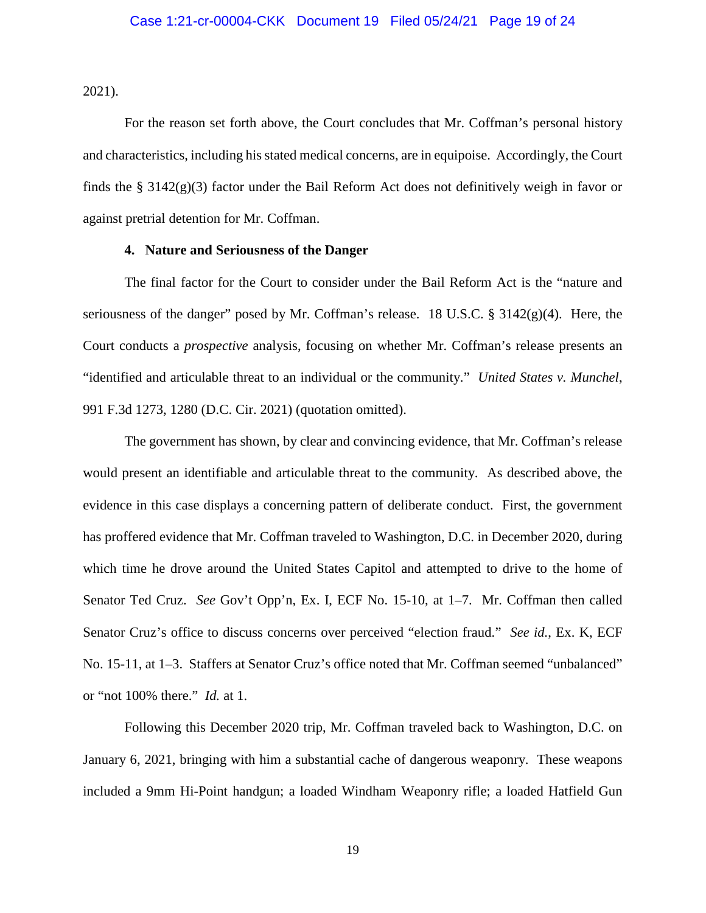2021).

For the reason set forth above, the Court concludes that Mr. Coffman's personal history and characteristics, including his stated medical concerns, are in equipoise. Accordingly, the Court finds the  $\S$  3142(g)(3) factor under the Bail Reform Act does not definitively weigh in favor or against pretrial detention for Mr. Coffman.

## **4. Nature and Seriousness of the Danger**

The final factor for the Court to consider under the Bail Reform Act is the "nature and seriousness of the danger" posed by Mr. Coffman's release. 18 U.S.C. §  $3142(g)(4)$ . Here, the Court conducts a *prospective* analysis, focusing on whether Mr. Coffman's release presents an "identified and articulable threat to an individual or the community." *United States v. Munchel*, 991 F.3d 1273, 1280 (D.C. Cir. 2021) (quotation omitted).

The government has shown, by clear and convincing evidence, that Mr. Coffman's release would present an identifiable and articulable threat to the community. As described above, the evidence in this case displays a concerning pattern of deliberate conduct. First, the government has proffered evidence that Mr. Coffman traveled to Washington, D.C. in December 2020, during which time he drove around the United States Capitol and attempted to drive to the home of Senator Ted Cruz. *See* Gov't Opp'n, Ex. I, ECF No. 15-10, at 1–7. Mr. Coffman then called Senator Cruz's office to discuss concerns over perceived "election fraud." *See id.*, Ex. K, ECF No. 15-11, at 1–3. Staffers at Senator Cruz's office noted that Mr. Coffman seemed "unbalanced" or "not 100% there." *Id.* at 1.

Following this December 2020 trip, Mr. Coffman traveled back to Washington, D.C. on January 6, 2021, bringing with him a substantial cache of dangerous weaponry. These weapons included a 9mm Hi-Point handgun; a loaded Windham Weaponry rifle; a loaded Hatfield Gun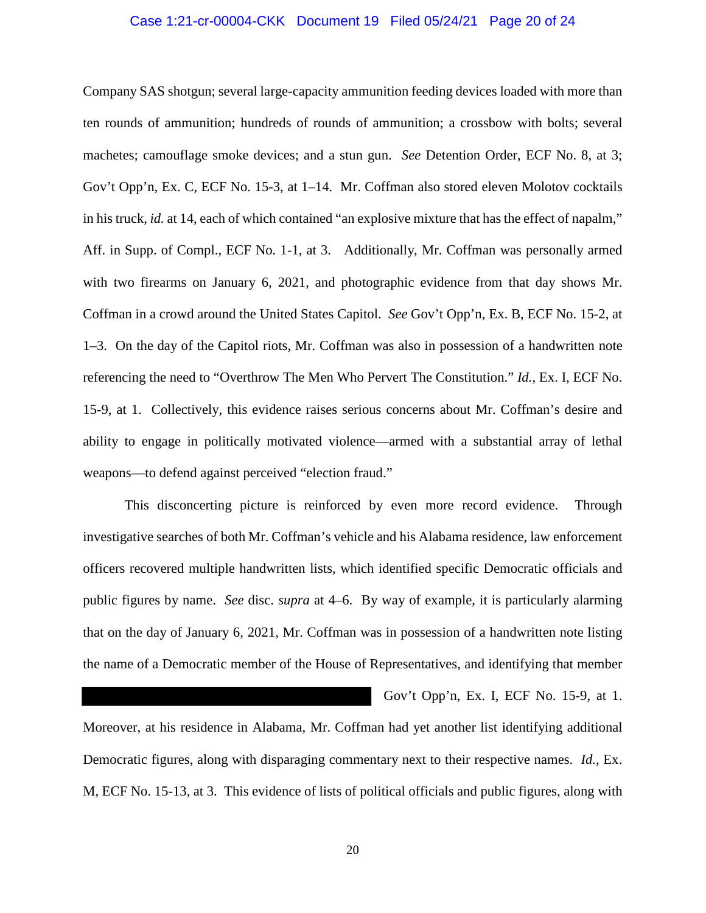## Case 1:21-cr-00004-CKK Document 19 Filed 05/24/21 Page 20 of 24

Company SAS shotgun; several large-capacity ammunition feeding devices loaded with more than ten rounds of ammunition; hundreds of rounds of ammunition; a crossbow with bolts; several machetes; camouflage smoke devices; and a stun gun. *See* Detention Order, ECF No. 8, at 3; Gov't Opp'n, Ex. C, ECF No. 15-3, at 1–14. Mr. Coffman also stored eleven Molotov cocktails in his truck, *id.* at 14, each of which contained "an explosive mixture that has the effect of napalm," Aff. in Supp. of Compl., ECF No. 1-1, at 3. Additionally, Mr. Coffman was personally armed with two firearms on January 6, 2021, and photographic evidence from that day shows Mr. Coffman in a crowd around the United States Capitol. *See* Gov't Opp'n, Ex. B, ECF No. 15-2, at 1–3. On the day of the Capitol riots, Mr. Coffman was also in possession of a handwritten note referencing the need to "Overthrow The Men Who Pervert The Constitution." *Id.*, Ex. I, ECF No. 15-9, at 1. Collectively, this evidence raises serious concerns about Mr. Coffman's desire and ability to engage in politically motivated violence—armed with a substantial array of lethal weapons—to defend against perceived "election fraud."

 This disconcerting picture is reinforced by even more record evidence. Through investigative searches of both Mr. Coffman's vehicle and his Alabama residence, law enforcement officers recovered multiple handwritten lists, which identified specific Democratic officials and public figures by name. *See* disc. *supra* at 4–6. By way of example, it is particularly alarming that on the day of January 6, 2021, Mr. Coffman was in possession of a handwritten note listing the name of a Democratic member of the House of Representatives, and identifying that member

Gov't Opp'n, Ex. I, ECF No. 15-9, at 1.

Moreover, at his residence in Alabama, Mr. Coffman had yet another list identifying additional Democratic figures, along with disparaging commentary next to their respective names. *Id.*, Ex. M, ECF No. 15-13, at 3. This evidence of lists of political officials and public figures, along with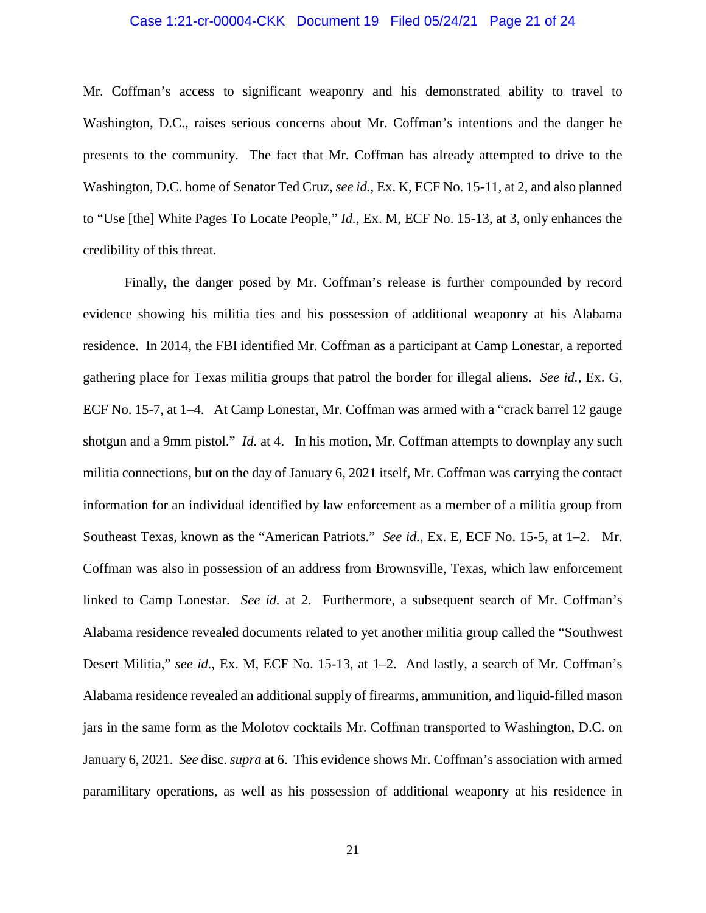## Case 1:21-cr-00004-CKK Document 19 Filed 05/24/21 Page 21 of 24

Mr. Coffman's access to significant weaponry and his demonstrated ability to travel to Washington, D.C., raises serious concerns about Mr. Coffman's intentions and the danger he presents to the community. The fact that Mr. Coffman has already attempted to drive to the Washington, D.C. home of Senator Ted Cruz, *see id.*, Ex. K, ECF No. 15-11, at 2, and also planned to "Use [the] White Pages To Locate People," *Id.*, Ex. M, ECF No. 15-13, at 3, only enhances the credibility of this threat.

Finally, the danger posed by Mr. Coffman's release is further compounded by record evidence showing his militia ties and his possession of additional weaponry at his Alabama residence. In 2014, the FBI identified Mr. Coffman as a participant at Camp Lonestar, a reported gathering place for Texas militia groups that patrol the border for illegal aliens. *See id.*, Ex. G, ECF No. 15-7, at 1–4. At Camp Lonestar, Mr. Coffman was armed with a "crack barrel 12 gauge shotgun and a 9mm pistol." *Id.* at 4. In his motion, Mr. Coffman attempts to downplay any such militia connections, but on the day of January 6, 2021 itself, Mr. Coffman was carrying the contact information for an individual identified by law enforcement as a member of a militia group from Southeast Texas, known as the "American Patriots." *See id.*, Ex. E, ECF No. 15-5, at 1–2. Mr. Coffman was also in possession of an address from Brownsville, Texas, which law enforcement linked to Camp Lonestar. *See id.* at 2. Furthermore, a subsequent search of Mr. Coffman's Alabama residence revealed documents related to yet another militia group called the "Southwest Desert Militia," *see id.*, Ex. M, ECF No. 15-13, at 1–2. And lastly, a search of Mr. Coffman's Alabama residence revealed an additional supply of firearms, ammunition, and liquid-filled mason jars in the same form as the Molotov cocktails Mr. Coffman transported to Washington, D.C. on January 6, 2021. *See* disc. *supra* at 6. This evidence shows Mr. Coffman's association with armed paramilitary operations, as well as his possession of additional weaponry at his residence in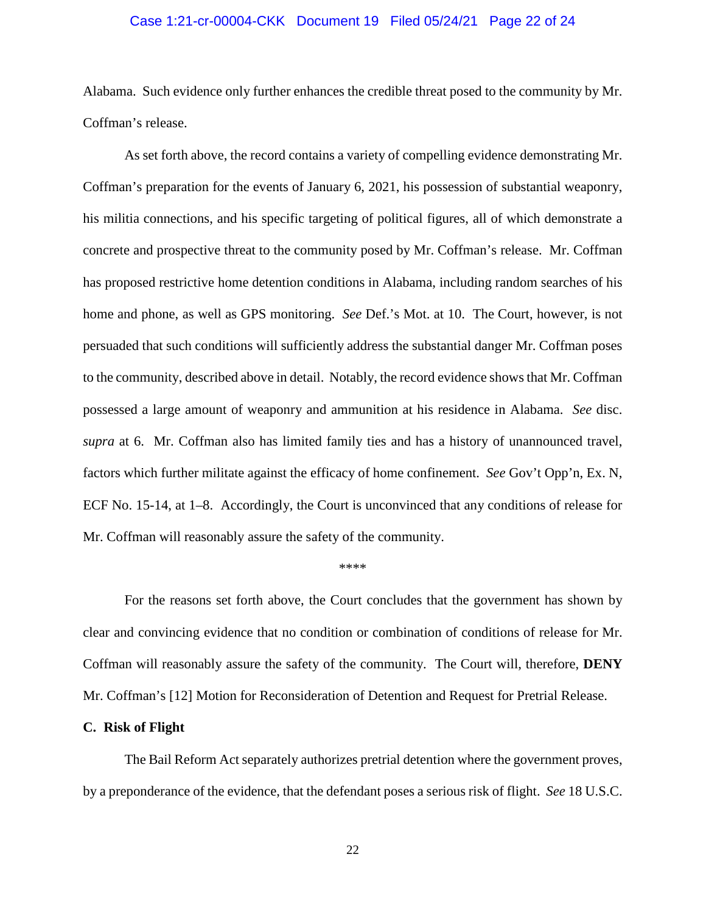## Case 1:21-cr-00004-CKK Document 19 Filed 05/24/21 Page 22 of 24

Alabama. Such evidence only further enhances the credible threat posed to the community by Mr. Coffman's release.

As set forth above, the record contains a variety of compelling evidence demonstrating Mr. Coffman's preparation for the events of January 6, 2021, his possession of substantial weaponry, his militia connections, and his specific targeting of political figures, all of which demonstrate a concrete and prospective threat to the community posed by Mr. Coffman's release. Mr. Coffman has proposed restrictive home detention conditions in Alabama, including random searches of his home and phone, as well as GPS monitoring. *See* Def.'s Mot. at 10. The Court, however, is not persuaded that such conditions will sufficiently address the substantial danger Mr. Coffman poses to the community, described above in detail. Notably, the record evidence shows that Mr. Coffman possessed a large amount of weaponry and ammunition at his residence in Alabama. *See* disc. *supra* at 6. Mr. Coffman also has limited family ties and has a history of unannounced travel, factors which further militate against the efficacy of home confinement. *See* Gov't Opp'n, Ex. N, ECF No. 15-14, at 1–8. Accordingly, the Court is unconvinced that any conditions of release for Mr. Coffman will reasonably assure the safety of the community.

#### \*\*\*\*

For the reasons set forth above, the Court concludes that the government has shown by clear and convincing evidence that no condition or combination of conditions of release for Mr. Coffman will reasonably assure the safety of the community. The Court will, therefore, **DENY** Mr. Coffman's [12] Motion for Reconsideration of Detention and Request for Pretrial Release.

#### **C. Risk of Flight**

The Bail Reform Act separately authorizes pretrial detention where the government proves, by a preponderance of the evidence, that the defendant poses a serious risk of flight. *See* 18 U.S.C.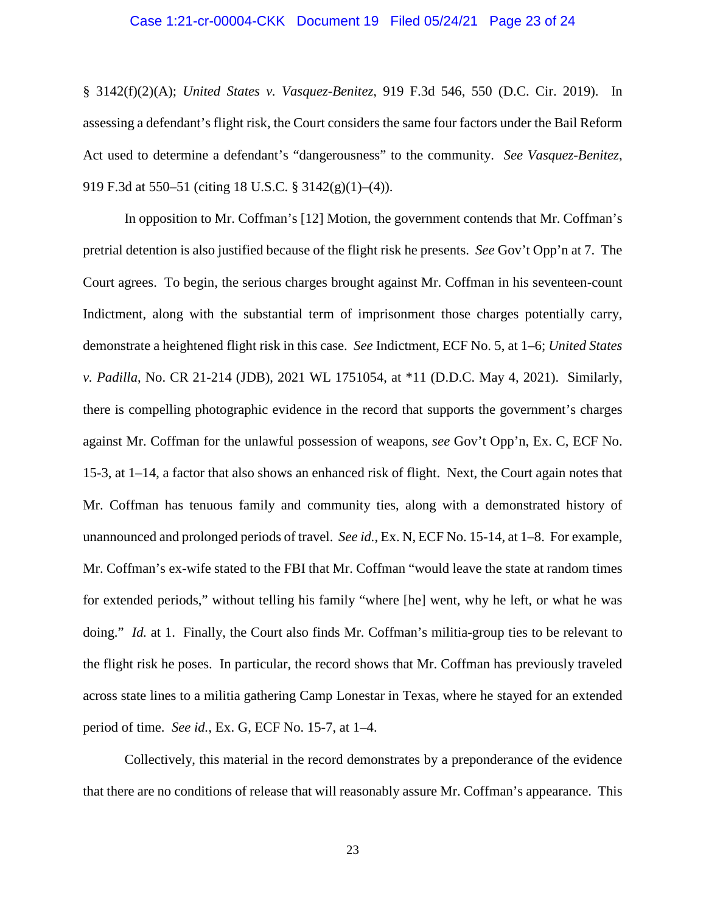## Case 1:21-cr-00004-CKK Document 19 Filed 05/24/21 Page 23 of 24

§ 3142(f)(2)(A); *United States v. Vasquez-Benitez*, 919 F.3d 546, 550 (D.C. Cir. 2019). In assessing a defendant's flight risk, the Court considers the same four factors under the Bail Reform Act used to determine a defendant's "dangerousness" to the community. *See Vasquez-Benitez*, 919 F.3d at 550–51 (citing 18 U.S.C. § 3142(g)(1)–(4)).

In opposition to Mr. Coffman's [12] Motion, the government contends that Mr. Coffman's pretrial detention is also justified because of the flight risk he presents. *See* Gov't Opp'n at 7. The Court agrees. To begin, the serious charges brought against Mr. Coffman in his seventeen-count Indictment, along with the substantial term of imprisonment those charges potentially carry, demonstrate a heightened flight risk in this case. *See* Indictment, ECF No. 5, at 1–6; *United States v. Padilla*, No. CR 21-214 (JDB), 2021 WL 1751054, at \*11 (D.D.C. May 4, 2021). Similarly, there is compelling photographic evidence in the record that supports the government's charges against Mr. Coffman for the unlawful possession of weapons, *see* Gov't Opp'n, Ex. C, ECF No. 15-3, at 1–14, a factor that also shows an enhanced risk of flight. Next, the Court again notes that Mr. Coffman has tenuous family and community ties, along with a demonstrated history of unannounced and prolonged periods of travel. *See id.*, Ex. N, ECF No. 15-14, at 1–8. For example, Mr. Coffman's ex-wife stated to the FBI that Mr. Coffman "would leave the state at random times for extended periods," without telling his family "where [he] went, why he left, or what he was doing." *Id.* at 1. Finally, the Court also finds Mr. Coffman's militia-group ties to be relevant to the flight risk he poses. In particular, the record shows that Mr. Coffman has previously traveled across state lines to a militia gathering Camp Lonestar in Texas, where he stayed for an extended period of time. *See id.*, Ex. G, ECF No. 15-7, at 1–4.

Collectively, this material in the record demonstrates by a preponderance of the evidence that there are no conditions of release that will reasonably assure Mr. Coffman's appearance. This